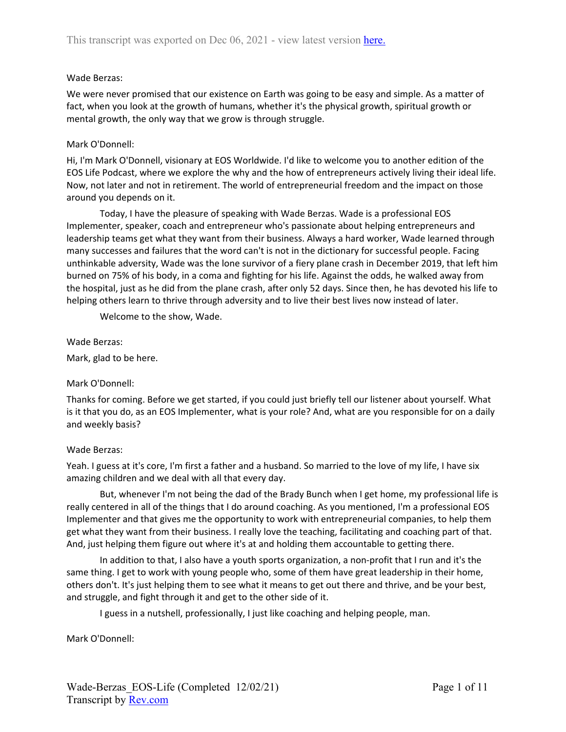# Wade Berzas:

We were never promised that our existence on Earth was going to be easy and simple. As a matter of fact, when you look at the growth of humans, whether it's the physical growth, spiritual growth or mental growth, the only way that we grow is through struggle.

# Mark O'Donnell:

Hi, I'm Mark O'Donnell, visionary at EOS Worldwide. I'd like to welcome you to another edition of the EOS Life Podcast, where we explore the why and the how of entrepreneurs actively living their ideal life. Now, not later and not in retirement. The world of entrepreneurial freedom and the impact on those around you depends on it.

Today, I have the pleasure of speaking with Wade Berzas. Wade is a professional EOS Implementer, speaker, coach and entrepreneur who's passionate about helping entrepreneurs and leadership teams get what they want from their business. Always a hard worker, Wade learned through many successes and failures that the word can't is not in the dictionary for successful people. Facing unthinkable adversity, Wade was the lone survivor of a fiery plane crash in December 2019, that left him burned on 75% of his body, in a coma and fighting for his life. Against the odds, he walked away from the hospital, just as he did from the plane crash, after only 52 days. Since then, he has devoted his life to helping others learn to thrive through adversity and to live their best lives now instead of later.

Welcome to the show, Wade.

Wade Berzas:

Mark, glad to be here.

## Mark O'Donnell:

Thanks for coming. Before we get started, if you could just briefly tell our listener about yourself. What is it that you do, as an EOS Implementer, what is your role? And, what are you responsible for on a daily and weekly basis?

## Wade Berzas:

Yeah. I guess at it's core, I'm first a father and a husband. So married to the love of my life, I have six amazing children and we deal with all that every day.

But, whenever I'm not being the dad of the Brady Bunch when I get home, my professional life is really centered in all of the things that I do around coaching. As you mentioned, I'm a professional EOS Implementer and that gives me the opportunity to work with entrepreneurial companies, to help them get what they want from their business. I really love the teaching, facilitating and coaching part of that. And, just helping them figure out where it's at and holding them accountable to getting there.

In addition to that, I also have a youth sports organization, a non-profit that I run and it's the same thing. I get to work with young people who, some of them have great leadership in their home, others don't. It's just helping them to see what it means to get out there and thrive, and be your best, and struggle, and fight through it and get to the other side of it.

I guess in a nutshell, professionally, I just like coaching and helping people, man.

Mark O'Donnell: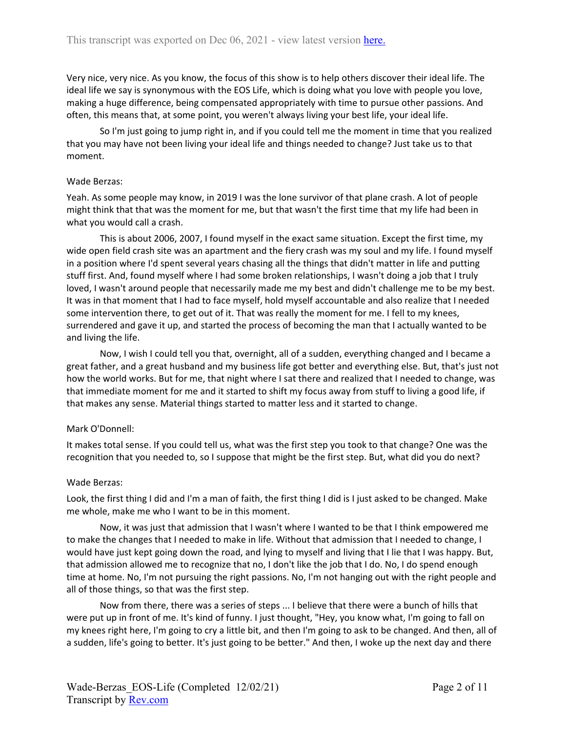Very nice, very nice. As you know, the focus of this show is to help others discover their ideal life. The ideal life we say is synonymous with the EOS Life, which is doing what you love with people you love, making a huge difference, being compensated appropriately with time to pursue other passions. And often, this means that, at some point, you weren't always living your best life, your ideal life.

So I'm just going to jump right in, and if you could tell me the moment in time that you realized that you may have not been living your ideal life and things needed to change? Just take us to that moment.

### Wade Berzas:

Yeah. As some people may know, in 2019 I was the lone survivor of that plane crash. A lot of people might think that that was the moment for me, but that wasn't the first time that my life had been in what you would call a crash.

This is about 2006, 2007, I found myself in the exact same situation. Except the first time, my wide open field crash site was an apartment and the fiery crash was my soul and my life. I found myself in a position where I'd spent several years chasing all the things that didn't matter in life and putting stuff first. And, found myself where I had some broken relationships, I wasn't doing a job that I truly loved, I wasn't around people that necessarily made me my best and didn't challenge me to be my best. It was in that moment that I had to face myself, hold myself accountable and also realize that I needed some intervention there, to get out of it. That was really the moment for me. I fell to my knees, surrendered and gave it up, and started the process of becoming the man that I actually wanted to be and living the life.

Now, I wish I could tell you that, overnight, all of a sudden, everything changed and I became a great father, and a great husband and my business life got better and everything else. But, that's just not how the world works. But for me, that night where I sat there and realized that I needed to change, was that immediate moment for me and it started to shift my focus away from stuff to living a good life, if that makes any sense. Material things started to matter less and it started to change.

## Mark O'Donnell:

It makes total sense. If you could tell us, what was the first step you took to that change? One was the recognition that you needed to, so I suppose that might be the first step. But, what did you do next?

## Wade Berzas:

Look, the first thing I did and I'm a man of faith, the first thing I did is I just asked to be changed. Make me whole, make me who I want to be in this moment.

Now, it was just that admission that I wasn't where I wanted to be that I think empowered me to make the changes that I needed to make in life. Without that admission that I needed to change, I would have just kept going down the road, and lying to myself and living that I lie that I was happy. But, that admission allowed me to recognize that no, I don't like the job that I do. No, I do spend enough time at home. No, I'm not pursuing the right passions. No, I'm not hanging out with the right people and all of those things, so that was the first step.

Now from there, there was a series of steps ... I believe that there were a bunch of hills that were put up in front of me. It's kind of funny. I just thought, "Hey, you know what, I'm going to fall on my knees right here, I'm going to cry a little bit, and then I'm going to ask to be changed. And then, all of a sudden, life's going to better. It's just going to be better." And then, I woke up the next day and there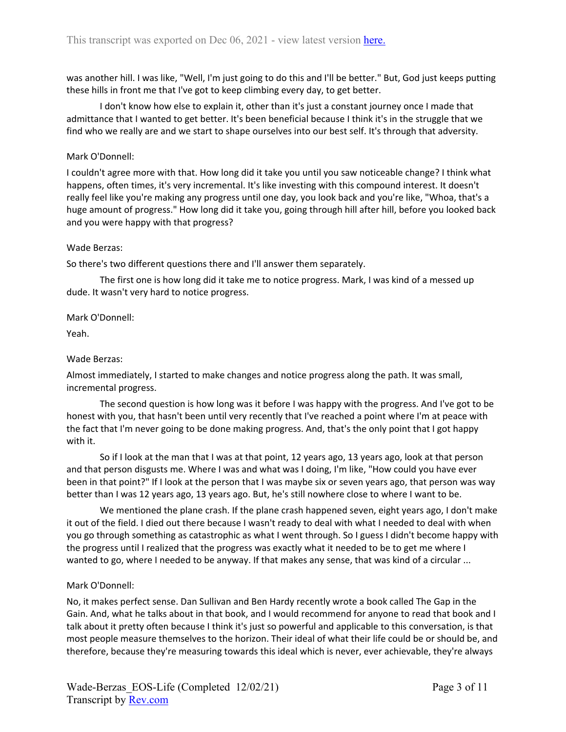was another hill. I was like, "Well, I'm just going to do this and I'll be better." But, God just keeps putting these hills in front me that I've got to keep climbing every day, to get better.

I don't know how else to explain it, other than it's just a constant journey once I made that admittance that I wanted to get better. It's been beneficial because I think it's in the struggle that we find who we really are and we start to shape ourselves into our best self. It's through that adversity.

## Mark O'Donnell:

I couldn't agree more with that. How long did it take you until you saw noticeable change? I think what happens, often times, it's very incremental. It's like investing with this compound interest. It doesn't really feel like you're making any progress until one day, you look back and you're like, "Whoa, that's a huge amount of progress." How long did it take you, going through hill after hill, before you looked back and you were happy with that progress?

#### Wade Berzas:

So there's two different questions there and I'll answer them separately.

The first one is how long did it take me to notice progress. Mark, I was kind of a messed up dude. It wasn't very hard to notice progress.

Mark O'Donnell:

Yeah.

## Wade Berzas:

Almost immediately, I started to make changes and notice progress along the path. It was small, incremental progress.

The second question is how long was it before I was happy with the progress. And I've got to be honest with you, that hasn't been until very recently that I've reached a point where I'm at peace with the fact that I'm never going to be done making progress. And, that's the only point that I got happy with it.

So if I look at the man that I was at that point, 12 years ago, 13 years ago, look at that person and that person disgusts me. Where I was and what was I doing, I'm like, "How could you have ever been in that point?" If I look at the person that I was maybe six or seven years ago, that person was way better than I was 12 years ago, 13 years ago. But, he's still nowhere close to where I want to be.

We mentioned the plane crash. If the plane crash happened seven, eight years ago, I don't make it out of the field. I died out there because I wasn't ready to deal with what I needed to deal with when you go through something as catastrophic as what I went through. So I guess I didn't become happy with the progress until I realized that the progress was exactly what it needed to be to get me where I wanted to go, where I needed to be anyway. If that makes any sense, that was kind of a circular ...

## Mark O'Donnell:

No, it makes perfect sense. Dan Sullivan and Ben Hardy recently wrote a book called The Gap in the Gain. And, what he talks about in that book, and I would recommend for anyone to read that book and I talk about it pretty often because I think it's just so powerful and applicable to this conversation, is that most people measure themselves to the horizon. Their ideal of what their life could be or should be, and therefore, because they're measuring towards this ideal which is never, ever achievable, they're always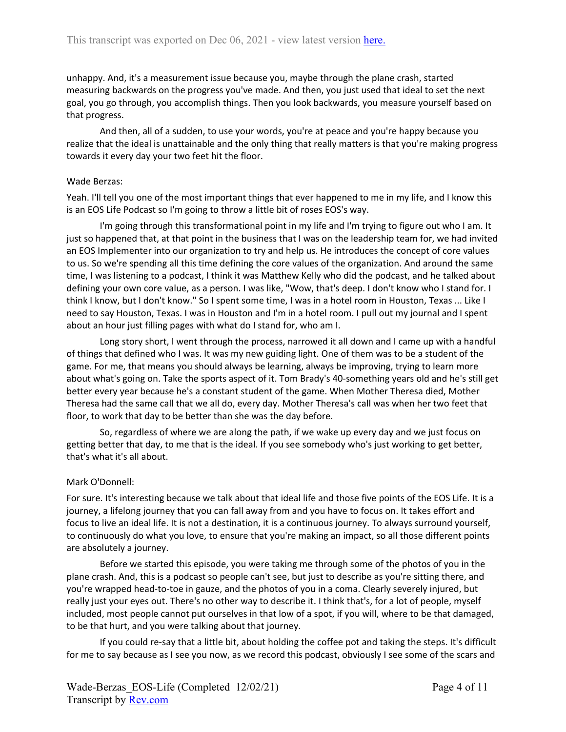unhappy. And, it's a measurement issue because you, maybe through the plane crash, started measuring backwards on the progress you've made. And then, you just used that ideal to set the next goal, you go through, you accomplish things. Then you look backwards, you measure yourself based on that progress.

And then, all of a sudden, to use your words, you're at peace and you're happy because you realize that the ideal is unattainable and the only thing that really matters is that you're making progress towards it every day your two feet hit the floor.

# Wade Berzas:

Yeah. I'll tell you one of the most important things that ever happened to me in my life, and I know this is an EOS Life Podcast so I'm going to throw a little bit of roses EOS's way.

I'm going through this transformational point in my life and I'm trying to figure out who I am. It just so happened that, at that point in the business that I was on the leadership team for, we had invited an EOS Implementer into our organization to try and help us. He introduces the concept of core values to us. So we're spending all this time defining the core values of the organization. And around the same time, I was listening to a podcast, I think it was Matthew Kelly who did the podcast, and he talked about defining your own core value, as a person. I was like, "Wow, that's deep. I don't know who I stand for. I think I know, but I don't know." So I spent some time, I was in a hotel room in Houston, Texas ... Like I need to say Houston, Texas. I was in Houston and I'm in a hotel room. I pull out my journal and I spent about an hour just filling pages with what do I stand for, who am I.

Long story short, I went through the process, narrowed it all down and I came up with a handful of things that defined who I was. It was my new guiding light. One of them was to be a student of the game. For me, that means you should always be learning, always be improving, trying to learn more about what's going on. Take the sports aspect of it. Tom Brady's 40-something years old and he's still get better every year because he's a constant student of the game. When Mother Theresa died, Mother Theresa had the same call that we all do, every day. Mother Theresa's call was when her two feet that floor, to work that day to be better than she was the day before.

So, regardless of where we are along the path, if we wake up every day and we just focus on getting better that day, to me that is the ideal. If you see somebody who's just working to get better, that's what it's all about.

## Mark O'Donnell:

For sure. It's interesting because we talk about that ideal life and those five points of the EOS Life. It is a journey, a lifelong journey that you can fall away from and you have to focus on. It takes effort and focus to live an ideal life. It is not a destination, it is a continuous journey. To always surround yourself, to continuously do what you love, to ensure that you're making an impact, so all those different points are absolutely a journey.

Before we started this episode, you were taking me through some of the photos of you in the plane crash. And, this is a podcast so people can't see, but just to describe as you're sitting there, and you're wrapped head-to-toe in gauze, and the photos of you in a coma. Clearly severely injured, but really just your eyes out. There's no other way to describe it. I think that's, for a lot of people, myself included, most people cannot put ourselves in that low of a spot, if you will, where to be that damaged, to be that hurt, and you were talking about that journey.

If you could re-say that a little bit, about holding the coffee pot and taking the steps. It's difficult for me to say because as I see you now, as we record this podcast, obviously I see some of the scars and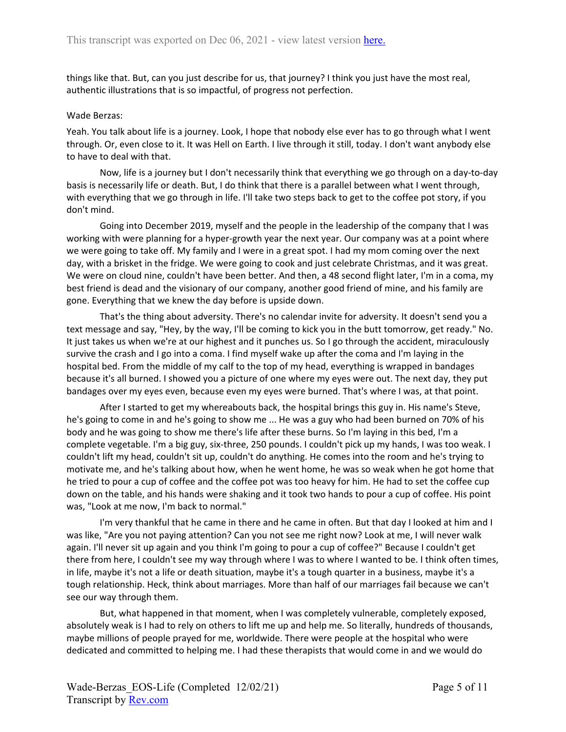things like that. But, can you just describe for us, that journey? I think you just have the most real, authentic illustrations that is so impactful, of progress not perfection.

#### Wade Berzas:

Yeah. You talk about life is a journey. Look, I hope that nobody else ever has to go through what I went through. Or, even close to it. It was Hell on Earth. I live through it still, today. I don't want anybody else to have to deal with that.

Now, life is a journey but I don't necessarily think that everything we go through on a day-to-day basis is necessarily life or death. But, I do think that there is a parallel between what I went through, with everything that we go through in life. I'll take two steps back to get to the coffee pot story, if you don't mind.

Going into December 2019, myself and the people in the leadership of the company that I was working with were planning for a hyper-growth year the next year. Our company was at a point where we were going to take off. My family and I were in a great spot. I had my mom coming over the next day, with a brisket in the fridge. We were going to cook and just celebrate Christmas, and it was great. We were on cloud nine, couldn't have been better. And then, a 48 second flight later, I'm in a coma, my best friend is dead and the visionary of our company, another good friend of mine, and his family are gone. Everything that we knew the day before is upside down.

That's the thing about adversity. There's no calendar invite for adversity. It doesn't send you a text message and say, "Hey, by the way, I'll be coming to kick you in the butt tomorrow, get ready." No. It just takes us when we're at our highest and it punches us. So I go through the accident, miraculously survive the crash and I go into a coma. I find myself wake up after the coma and I'm laying in the hospital bed. From the middle of my calf to the top of my head, everything is wrapped in bandages because it's all burned. I showed you a picture of one where my eyes were out. The next day, they put bandages over my eyes even, because even my eyes were burned. That's where I was, at that point.

After I started to get my whereabouts back, the hospital brings this guy in. His name's Steve, he's going to come in and he's going to show me ... He was a guy who had been burned on 70% of his body and he was going to show me there's life after these burns. So I'm laying in this bed, I'm a complete vegetable. I'm a big guy, six-three, 250 pounds. I couldn't pick up my hands, I was too weak. I couldn't lift my head, couldn't sit up, couldn't do anything. He comes into the room and he's trying to motivate me, and he's talking about how, when he went home, he was so weak when he got home that he tried to pour a cup of coffee and the coffee pot was too heavy for him. He had to set the coffee cup down on the table, and his hands were shaking and it took two hands to pour a cup of coffee. His point was, "Look at me now, I'm back to normal."

I'm very thankful that he came in there and he came in often. But that day I looked at him and I was like, "Are you not paying attention? Can you not see me right now? Look at me, I will never walk again. I'll never sit up again and you think I'm going to pour a cup of coffee?" Because I couldn't get there from here, I couldn't see my way through where I was to where I wanted to be. I think often times, in life, maybe it's not a life or death situation, maybe it's a tough quarter in a business, maybe it's a tough relationship. Heck, think about marriages. More than half of our marriages fail because we can't see our way through them.

But, what happened in that moment, when I was completely vulnerable, completely exposed, absolutely weak is I had to rely on others to lift me up and help me. So literally, hundreds of thousands, maybe millions of people prayed for me, worldwide. There were people at the hospital who were dedicated and committed to helping me. I had these therapists that would come in and we would do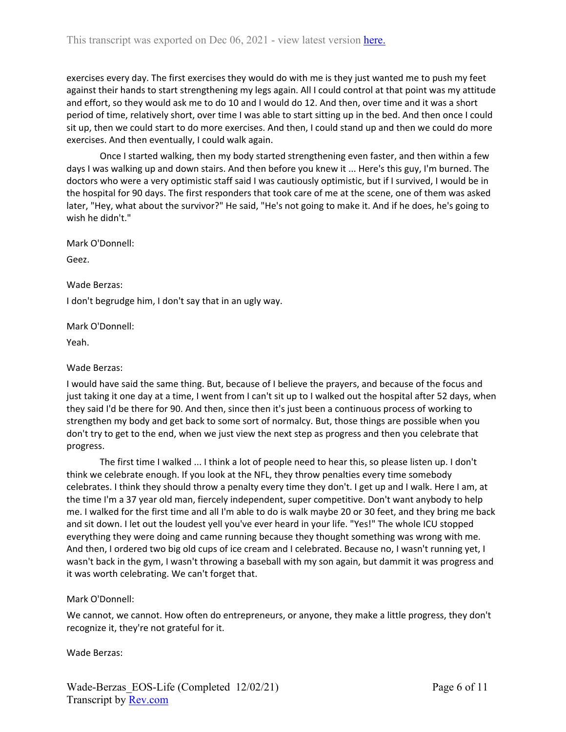exercises every day. The first exercises they would do with me is they just wanted me to push my feet against their hands to start strengthening my legs again. All I could control at that point was my attitude and effort, so they would ask me to do 10 and I would do 12. And then, over time and it was a short period of time, relatively short, over time I was able to start sitting up in the bed. And then once I could sit up, then we could start to do more exercises. And then, I could stand up and then we could do more exercises. And then eventually, I could walk again.

Once I started walking, then my body started strengthening even faster, and then within a few days I was walking up and down stairs. And then before you knew it ... Here's this guy, I'm burned. The doctors who were a very optimistic staff said I was cautiously optimistic, but if I survived, I would be in the hospital for 90 days. The first responders that took care of me at the scene, one of them was asked later, "Hey, what about the survivor?" He said, "He's not going to make it. And if he does, he's going to wish he didn't."

Mark O'Donnell:

Geez.

Wade Berzas:

I don't begrudge him, I don't say that in an ugly way.

Mark O'Donnell:

Yeah.

Wade Berzas:

I would have said the same thing. But, because of I believe the prayers, and because of the focus and just taking it one day at a time, I went from I can't sit up to I walked out the hospital after 52 days, when they said I'd be there for 90. And then, since then it's just been a continuous process of working to strengthen my body and get back to some sort of normalcy. But, those things are possible when you don't try to get to the end, when we just view the next step as progress and then you celebrate that progress.

The first time I walked ... I think a lot of people need to hear this, so please listen up. I don't think we celebrate enough. If you look at the NFL, they throw penalties every time somebody celebrates. I think they should throw a penalty every time they don't. I get up and I walk. Here I am, at the time I'm a 37 year old man, fiercely independent, super competitive. Don't want anybody to help me. I walked for the first time and all I'm able to do is walk maybe 20 or 30 feet, and they bring me back and sit down. I let out the loudest yell you've ever heard in your life. "Yes!" The whole ICU stopped everything they were doing and came running because they thought something was wrong with me. And then, I ordered two big old cups of ice cream and I celebrated. Because no, I wasn't running yet, I wasn't back in the gym, I wasn't throwing a baseball with my son again, but dammit it was progress and it was worth celebrating. We can't forget that.

## Mark O'Donnell:

We cannot, we cannot. How often do entrepreneurs, or anyone, they make a little progress, they don't recognize it, they're not grateful for it.

Wade Berzas: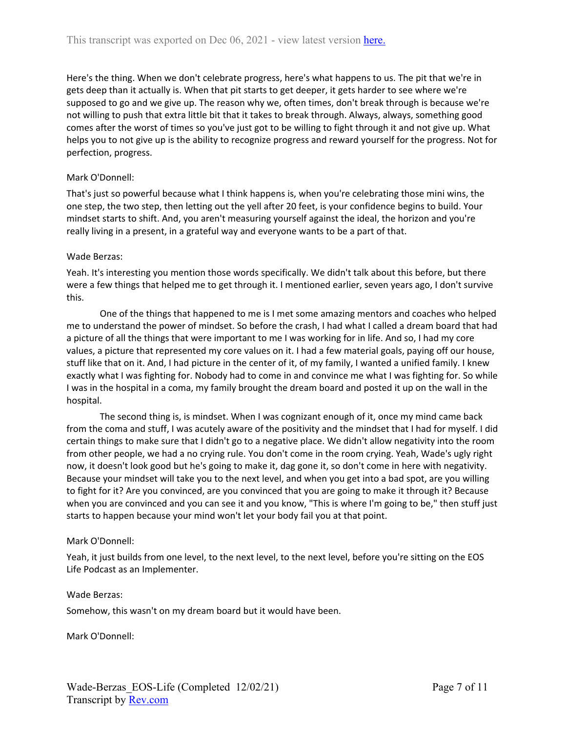Here's the thing. When we don't celebrate progress, here's what happens to us. The pit that we're in gets deep than it actually is. When that pit starts to get deeper, it gets harder to see where we're supposed to go and we give up. The reason why we, often times, don't break through is because we're not willing to push that extra little bit that it takes to break through. Always, always, something good comes after the worst of times so you've just got to be willing to fight through it and not give up. What helps you to not give up is the ability to recognize progress and reward yourself for the progress. Not for perfection, progress.

# Mark O'Donnell:

That's just so powerful because what I think happens is, when you're celebrating those mini wins, the one step, the two step, then letting out the yell after 20 feet, is your confidence begins to build. Your mindset starts to shift. And, you aren't measuring yourself against the ideal, the horizon and you're really living in a present, in a grateful way and everyone wants to be a part of that.

## Wade Berzas:

Yeah. It's interesting you mention those words specifically. We didn't talk about this before, but there were a few things that helped me to get through it. I mentioned earlier, seven years ago, I don't survive this.

One of the things that happened to me is I met some amazing mentors and coaches who helped me to understand the power of mindset. So before the crash, I had what I called a dream board that had a picture of all the things that were important to me I was working for in life. And so, I had my core values, a picture that represented my core values on it. I had a few material goals, paying off our house, stuff like that on it. And, I had picture in the center of it, of my family, I wanted a unified family. I knew exactly what I was fighting for. Nobody had to come in and convince me what I was fighting for. So while I was in the hospital in a coma, my family brought the dream board and posted it up on the wall in the hospital.

The second thing is, is mindset. When I was cognizant enough of it, once my mind came back from the coma and stuff, I was acutely aware of the positivity and the mindset that I had for myself. I did certain things to make sure that I didn't go to a negative place. We didn't allow negativity into the room from other people, we had a no crying rule. You don't come in the room crying. Yeah, Wade's ugly right now, it doesn't look good but he's going to make it, dag gone it, so don't come in here with negativity. Because your mindset will take you to the next level, and when you get into a bad spot, are you willing to fight for it? Are you convinced, are you convinced that you are going to make it through it? Because when you are convinced and you can see it and you know, "This is where I'm going to be," then stuff just starts to happen because your mind won't let your body fail you at that point.

## Mark O'Donnell:

Yeah, it just builds from one level, to the next level, to the next level, before you're sitting on the EOS Life Podcast as an Implementer.

## Wade Berzas:

Somehow, this wasn't on my dream board but it would have been.

Mark O'Donnell: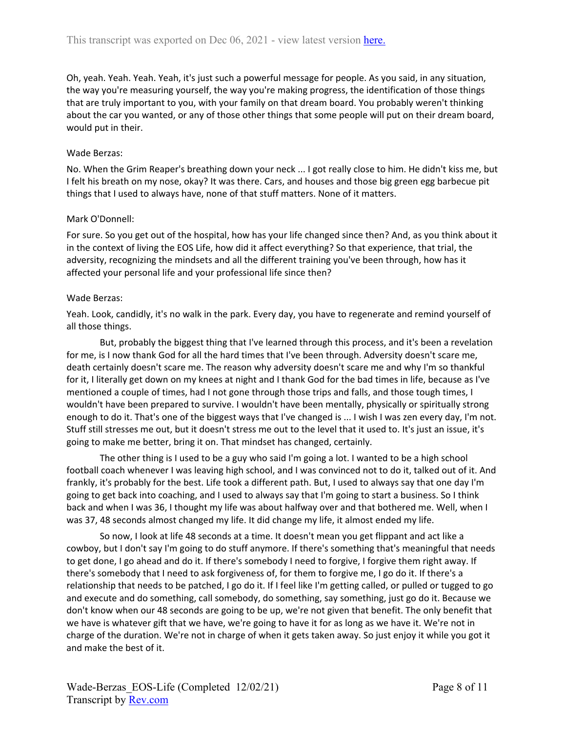Oh, yeah. Yeah. Yeah. Yeah, it's just such a powerful message for people. As you said, in any situation, the way you're measuring yourself, the way you're making progress, the identification of those things that are truly important to you, with your family on that dream board. You probably weren't thinking about the car you wanted, or any of those other things that some people will put on their dream board, would put in their.

## Wade Berzas:

No. When the Grim Reaper's breathing down your neck ... I got really close to him. He didn't kiss me, but I felt his breath on my nose, okay? It was there. Cars, and houses and those big green egg barbecue pit things that I used to always have, none of that stuff matters. None of it matters.

## Mark O'Donnell:

For sure. So you get out of the hospital, how has your life changed since then? And, as you think about it in the context of living the EOS Life, how did it affect everything? So that experience, that trial, the adversity, recognizing the mindsets and all the different training you've been through, how has it affected your personal life and your professional life since then?

#### Wade Berzas:

Yeah. Look, candidly, it's no walk in the park. Every day, you have to regenerate and remind yourself of all those things.

But, probably the biggest thing that I've learned through this process, and it's been a revelation for me, is I now thank God for all the hard times that I've been through. Adversity doesn't scare me, death certainly doesn't scare me. The reason why adversity doesn't scare me and why I'm so thankful for it, I literally get down on my knees at night and I thank God for the bad times in life, because as I've mentioned a couple of times, had I not gone through those trips and falls, and those tough times, I wouldn't have been prepared to survive. I wouldn't have been mentally, physically or spiritually strong enough to do it. That's one of the biggest ways that I've changed is ... I wish I was zen every day, I'm not. Stuff still stresses me out, but it doesn't stress me out to the level that it used to. It's just an issue, it's going to make me better, bring it on. That mindset has changed, certainly.

The other thing is I used to be a guy who said I'm going a lot. I wanted to be a high school football coach whenever I was leaving high school, and I was convinced not to do it, talked out of it. And frankly, it's probably for the best. Life took a different path. But, I used to always say that one day I'm going to get back into coaching, and I used to always say that I'm going to start a business. So I think back and when I was 36, I thought my life was about halfway over and that bothered me. Well, when I was 37, 48 seconds almost changed my life. It did change my life, it almost ended my life.

So now, I look at life 48 seconds at a time. It doesn't mean you get flippant and act like a cowboy, but I don't say I'm going to do stuff anymore. If there's something that's meaningful that needs to get done, I go ahead and do it. If there's somebody I need to forgive, I forgive them right away. If there's somebody that I need to ask forgiveness of, for them to forgive me, I go do it. If there's a relationship that needs to be patched, I go do it. If I feel like I'm getting called, or pulled or tugged to go and execute and do something, call somebody, do something, say something, just go do it. Because we don't know when our 48 seconds are going to be up, we're not given that benefit. The only benefit that we have is whatever gift that we have, we're going to have it for as long as we have it. We're not in charge of the duration. We're not in charge of when it gets taken away. So just enjoy it while you got it and make the best of it.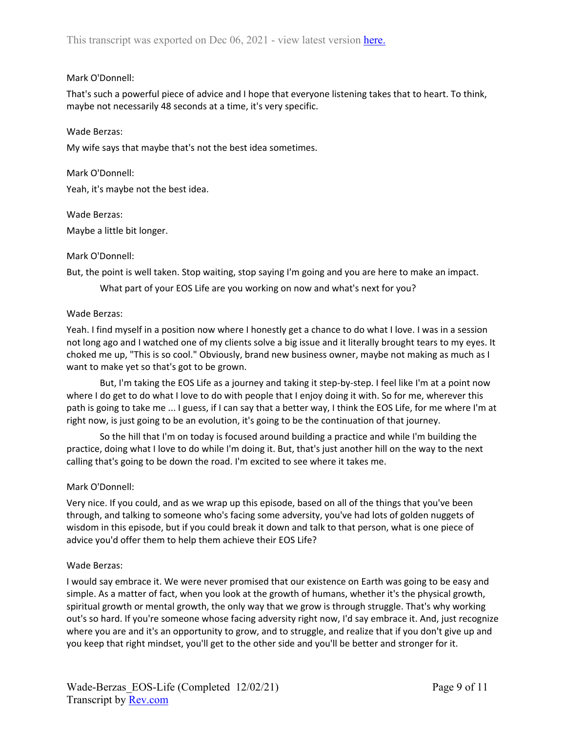### Mark O'Donnell:

That's such a powerful piece of advice and I hope that everyone listening takes that to heart. To think, maybe not necessarily 48 seconds at a time, it's very specific.

#### Wade Berzas:

My wife says that maybe that's not the best idea sometimes.

Mark O'Donnell:

Yeah, it's maybe not the best idea.

#### Wade Berzas:

Maybe a little bit longer.

#### Mark O'Donnell:

But, the point is well taken. Stop waiting, stop saying I'm going and you are here to make an impact.

What part of your EOS Life are you working on now and what's next for you?

#### Wade Berzas:

Yeah. I find myself in a position now where I honestly get a chance to do what I love. I was in a session not long ago and I watched one of my clients solve a big issue and it literally brought tears to my eyes. It choked me up, "This is so cool." Obviously, brand new business owner, maybe not making as much as I want to make yet so that's got to be grown.

But, I'm taking the EOS Life as a journey and taking it step-by-step. I feel like I'm at a point now where I do get to do what I love to do with people that I enjoy doing it with. So for me, wherever this path is going to take me ... I guess, if I can say that a better way, I think the EOS Life, for me where I'm at right now, is just going to be an evolution, it's going to be the continuation of that journey.

So the hill that I'm on today is focused around building a practice and while I'm building the practice, doing what I love to do while I'm doing it. But, that's just another hill on the way to the next calling that's going to be down the road. I'm excited to see where it takes me.

## Mark O'Donnell:

Very nice. If you could, and as we wrap up this episode, based on all of the things that you've been through, and talking to someone who's facing some adversity, you've had lots of golden nuggets of wisdom in this episode, but if you could break it down and talk to that person, what is one piece of advice you'd offer them to help them achieve their EOS Life?

## Wade Berzas:

I would say embrace it. We were never promised that our existence on Earth was going to be easy and simple. As a matter of fact, when you look at the growth of humans, whether it's the physical growth, spiritual growth or mental growth, the only way that we grow is through struggle. That's why working out's so hard. If you're someone whose facing adversity right now, I'd say embrace it. And, just recognize where you are and it's an opportunity to grow, and to struggle, and realize that if you don't give up and you keep that right mindset, you'll get to the other side and you'll be better and stronger for it.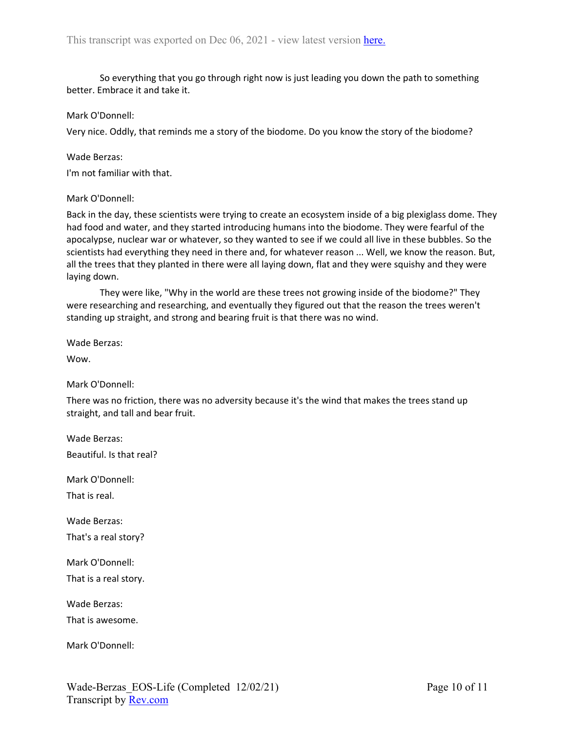So everything that you go through right now is just leading you down the path to something better. Embrace it and take it.

#### Mark O'Donnell:

Very nice. Oddly, that reminds me a story of the biodome. Do you know the story of the biodome?

#### Wade Berzas:

I'm not familiar with that.

#### Mark O'Donnell:

Back in the day, these scientists were trying to create an ecosystem inside of a big plexiglass dome. They had food and water, and they started introducing humans into the biodome. They were fearful of the apocalypse, nuclear war or whatever, so they wanted to see if we could all live in these bubbles. So the scientists had everything they need in there and, for whatever reason ... Well, we know the reason. But, all the trees that they planted in there were all laying down, flat and they were squishy and they were laying down.

They were like, "Why in the world are these trees not growing inside of the biodome?" They were researching and researching, and eventually they figured out that the reason the trees weren't standing up straight, and strong and bearing fruit is that there was no wind.

Wade Berzas:

Wow.

Mark O'Donnell:

There was no friction, there was no adversity because it's the wind that makes the trees stand up straight, and tall and bear fruit.

Wade Berzas: Beautiful. Is that real?

Mark O'Donnell:

That is real.

Wade Berzas: That's a real story?

Mark O'Donnell:

That is a real story.

Wade Berzas:

That is awesome.

Mark O'Donnell: